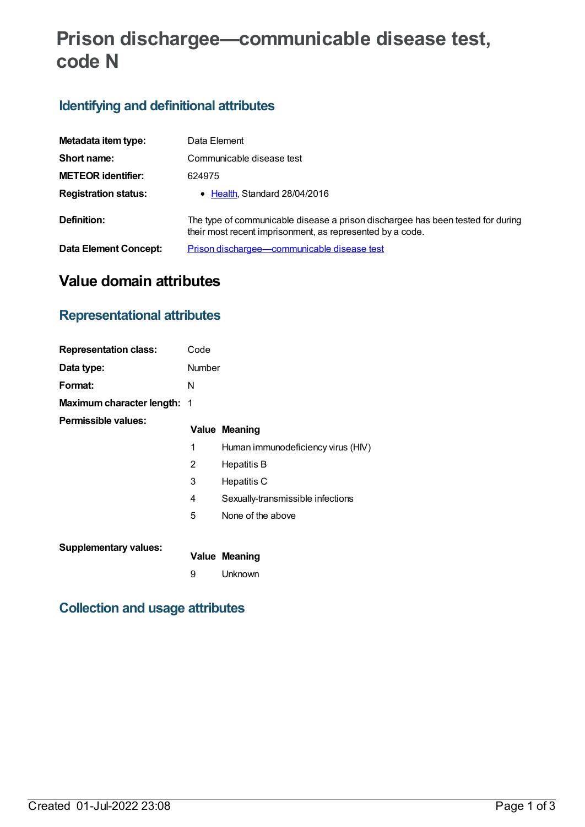# **Prison dischargee—communicable disease test, code N**

## **Identifying and definitional attributes**

| Metadata item type:         | Data Element                                                                                                                                 |
|-----------------------------|----------------------------------------------------------------------------------------------------------------------------------------------|
| Short name:                 | Communicable disease test                                                                                                                    |
| <b>METEOR identifier:</b>   | 624975                                                                                                                                       |
| <b>Registration status:</b> | • Health, Standard 28/04/2016                                                                                                                |
| Definition:                 | The type of communicable disease a prison dischargee has been tested for during<br>their most recent imprisonment, as represented by a code. |
| Data Element Concept:       | Prison dischargee-communicable disease test                                                                                                  |

## **Value domain attributes**

## **Representational attributes**

| <b>Representation class:</b>       | Code   |                                    |
|------------------------------------|--------|------------------------------------|
| Data type:                         | Number |                                    |
| Format:                            | N      |                                    |
| <b>Maximum character length: 1</b> |        |                                    |
| Permissible values:                |        | <b>Value Meaning</b>               |
|                                    | 1      | Human immunodeficiency virus (HIV) |
|                                    | 2      | Hepatitis B                        |
|                                    | 3      | Hepatitis C                        |
|                                    | 4      | Sexually-transmissible infections  |
|                                    | 5      | None of the above                  |
| <b>Supplementary values:</b>       |        | <b>Value Meaning</b>               |
|                                    | 9      | Unknown                            |

## **Collection and usage attributes**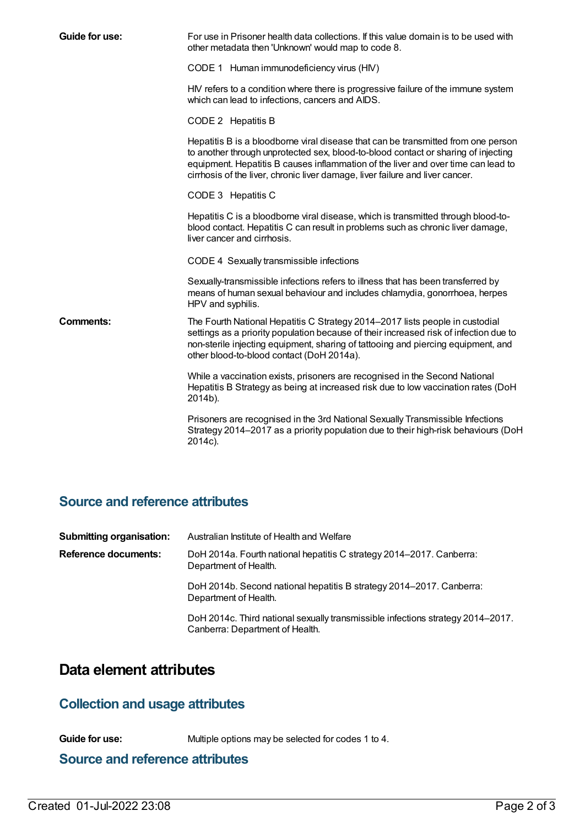| Guide for use:   | For use in Prisoner health data collections. If this value domain is to be used with<br>other metadata then 'Unknown' would map to code 8.                                                                                                                                                                                                    |
|------------------|-----------------------------------------------------------------------------------------------------------------------------------------------------------------------------------------------------------------------------------------------------------------------------------------------------------------------------------------------|
|                  | CODE 1 Human immunodeficiency virus (HIV)                                                                                                                                                                                                                                                                                                     |
|                  | HIV refers to a condition where there is progressive failure of the immune system<br>which can lead to infections, cancers and AIDS.                                                                                                                                                                                                          |
|                  | CODE 2 Hepatitis B                                                                                                                                                                                                                                                                                                                            |
|                  | Hepatitis B is a bloodborne viral disease that can be transmitted from one person<br>to another through unprotected sex, blood-to-blood contact or sharing of injecting<br>equipment. Hepatitis B causes inflammation of the liver and over time can lead to<br>cirrhosis of the liver, chronic liver damage, liver failure and liver cancer. |
|                  | CODE 3 Hepatitis C                                                                                                                                                                                                                                                                                                                            |
|                  | Hepatitis C is a bloodborne viral disease, which is transmitted through blood-to-<br>blood contact. Hepatitis C can result in problems such as chronic liver damage,<br>liver cancer and cirrhosis.                                                                                                                                           |
|                  | CODE 4 Sexually transmissible infections                                                                                                                                                                                                                                                                                                      |
|                  | Sexually-transmissible infections refers to illness that has been transferred by<br>means of human sexual behaviour and includes chlamydia, gonorrhoea, herpes<br>HPV and syphilis.                                                                                                                                                           |
| <b>Comments:</b> | The Fourth National Hepatitis C Strategy 2014-2017 lists people in custodial<br>settings as a priority population because of their increased risk of infection due to<br>non-sterile injecting equipment, sharing of tattooing and piercing equipment, and<br>other blood-to-blood contact (DoH 2014a).                                       |
|                  | While a vaccination exists, prisoners are recognised in the Second National<br>Hepatitis B Strategy as being at increased risk due to low vaccination rates (DoH<br>2014b).                                                                                                                                                                   |
|                  | Prisoners are recognised in the 3rd National Sexually Transmissible Infections<br>Strategy 2014–2017 as a priority population due to their high-risk behaviours (DoH<br>2014c).                                                                                                                                                               |

## **Source and reference attributes**

| <b>Submitting organisation:</b> | Australian Institute of Health and Welfare                                                                         |
|---------------------------------|--------------------------------------------------------------------------------------------------------------------|
| Reference documents:            | DoH 2014a. Fourth national hepatitis C strategy 2014–2017. Canberra:<br>Department of Health.                      |
|                                 | DoH 2014b. Second national hepatitis B strategy 2014–2017. Canberra:<br>Department of Health.                      |
|                                 | DoH 2014c. Third national sexually transmissible infections strategy 2014–2017.<br>Canberra: Department of Health. |

## **Data element attributes**

#### **Collection and usage attributes**

**Guide for use:** Multiple options may be selected for codes 1 to 4.

#### **Source and reference attributes**